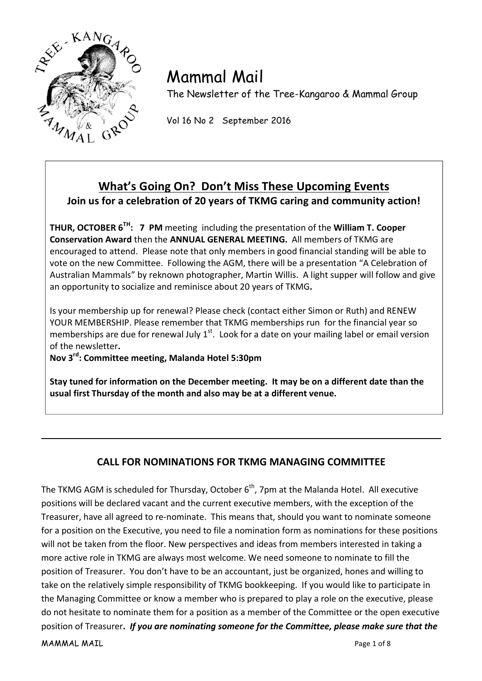

# Mammal Mail

The Newsletter of the Tree-Kangaroo & Mammal Group

Vol 16 No 2 September 2016

## What's Going On? Don't Miss These Upcoming Events **Join us for a celebration of 20 years of TKMG caring and community action!**

**THUR, OCTOBER 6<sup>TH</sup>: 7 PM** meeting including the presentation of the **William T. Cooper Conservation Award then the ANNUAL GENERAL MEETING.** All members of TKMG are encouraged to attend. Please note that only members in good financial standing will be able to vote on the new Committee. Following the AGM, there will be a presentation "A Celebration of Australian Mammals" by reknown photographer, Martin Willis. A light supper will follow and give an opportunity to socialize and reminisce about 20 years of TKMG.

Is your membership up for renewal? Please check (contact either Simon or Ruth) and RENEW YOUR MEMBERSHIP. Please remember that TKMG memberships run for the financial year so memberships are due for renewal July 1st. Look for a date on your mailing label or email version of the newsletter.

Nov 3<sup>rd</sup>: Committee meeting, Malanda Hotel 5:30pm

Stay tuned for information on the December meeting. It may be on a different date than the usual first Thursday of the month and also may be at a different venue.

## **CALL FOR NOMINATIONS FOR TKMG MANAGING COMMITTEE**

MAMMAL MAIL **Mathematic Contract of Structure Contract Contract On the Contract On the Page 1 of 8** The TKMG AGM is scheduled for Thursday, October  $6<sup>th</sup>$ , 7pm at the Malanda Hotel. All executive positions will be declared vacant and the current executive members, with the exception of the Treasurer, have all agreed to re-nominate. This means that, should you want to nominate someone for a position on the Executive, you need to file a nomination form as nominations for these positions will not be taken from the floor. New perspectives and ideas from members interested in taking a more active role in TKMG are always most welcome. We need someone to nominate to fill the position of Treasurer. You don't have to be an accountant, just be organized, hones and willing to take on the relatively simple responsibility of TKMG bookkeeping. If you would like to participate in the Managing Committee or know a member who is prepared to play a role on the executive, please do not hesitate to nominate them for a position as a member of the Committee or the open executive position of Treasurer. *If you are nominating someone for the Committee, please make sure that the*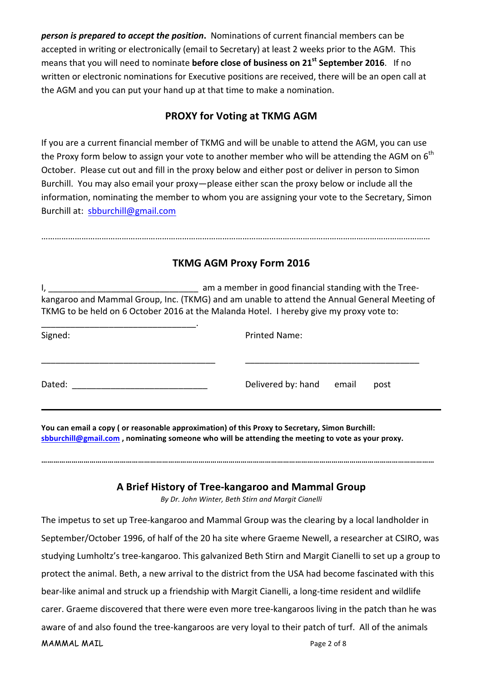*person is prepared to accept the position*. Nominations of current financial members can be accepted in writing or electronically (email to Secretary) at least 2 weeks prior to the AGM. This means that you will need to nominate **before close of business on 21<sup>st</sup> September 2016**. If no written or electronic nominations for Executive positions are received, there will be an open call at the AGM and you can put your hand up at that time to make a nomination.

## **PROXY for Voting at TKMG AGM**

If you are a current financial member of TKMG and will be unable to attend the AGM, you can use the Proxy form below to assign your vote to another member who will be attending the AGM on  $6<sup>th</sup>$ October. Please cut out and fill in the proxy below and either post or deliver in person to Simon Burchill. You may also email your proxy—please either scan the proxy below or include all the information, nominating the member to whom you are assigning your vote to the Secretary, Simon Burchill%at:%%sbburchill@gmail.com

## **TKMG AGM Proxy Form 2016**

…………………………………………………………………………………………………………………………………………………………

I,%\_\_\_\_\_\_\_\_\_\_\_\_\_\_\_\_\_\_\_\_\_\_\_\_\_\_\_\_\_\_\_%%am a%member%in%good%financial%standing%with%the%TreeF kangaroo and Mammal Group, Inc. (TKMG) and am unable to attend the Annual General Meeting of TKMG to be held on 6 October 2016 at the Malanda Hotel. I hereby give my proxy vote to:

| Signed: | <b>Printed Name:</b> |       |      |
|---------|----------------------|-------|------|
| Dated:  | Delivered by: hand   | email | post |

You can email a copy ( or reasonable approximation) of this Proxy to Secretary, Simon Burchill: sbburchill@gmail.com, nominating someone who will be attending the meeting to vote as your proxy.

### A Brief History of Tree-kangaroo and Mammal Group

**……………………………………………………………………………………………………………………………………………………………………………**

*By#Dr.#John#Winter,#Beth#Stirn and#Margit#Cianelli*

 $MAMMAL MAIL$ The impetus to set up Tree-kangaroo and Mammal Group was the clearing by a local landholder in September/October 1996, of half of the 20 ha site where Graeme Newell, a researcher at CSIRO, was studying Lumholtz's tree-kangaroo. This galvanized Beth Stirn and Margit Cianelli to set up a group to protect the animal. Beth, a new arrival to the district from the USA had become fascinated with this bear-like animal and struck up a friendship with Margit Cianelli, a long-time resident and wildlife carer. Graeme discovered that there were even more tree-kangaroos living in the patch than he was aware of and also found the tree-kangaroos are very loyal to their patch of turf. All of the animals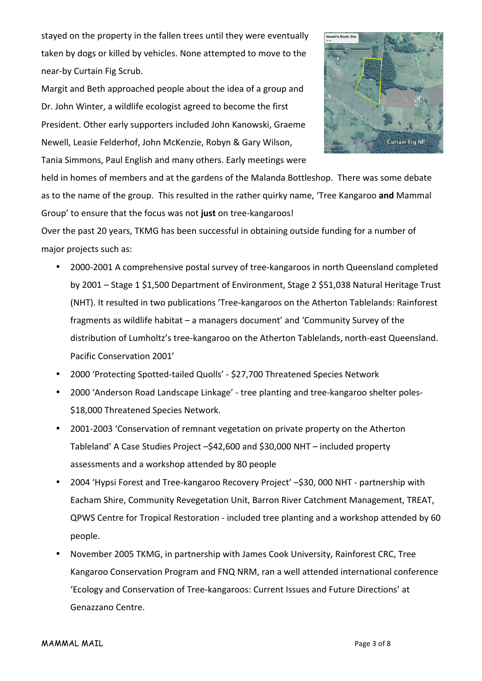stayed on the property in the fallen trees until they were eventually taken by dogs or killed by vehicles. None attempted to move to the near-by Curtain Fig Scrub.

Margit and Beth approached people about the idea of a group and Dr. John Winter, a wildlife ecologist agreed to become the first President. Other early supporters included John Kanowski, Graeme Newell, Leasie Felderhof, John McKenzie, Robyn & Gary Wilson, Tania Simmons, Paul English and many others. Early meetings were



held in homes of members and at the gardens of the Malanda Bottleshop. There was some debate as to the name of the group. This resulted in the rather quirky name, 'Tree Kangaroo and Mammal Group' to ensure that the focus was not just on tree-kangaroos!

Over the past 20 years, TKMG has been successful in obtaining outside funding for a number of major projects such as:

- 2000-2001 A comprehensive postal survey of tree-kangaroos in north Queensland completed by 2001 – Stage 1 \$1,500 Department of Environment, Stage 2 \$51,038 Natural Heritage Trust (NHT). It resulted in two publications 'Tree-kangaroos on the Atherton Tablelands: Rainforest fragments as wildlife habitat – a managers document' and 'Community Survey of the distribution of Lumholtz's tree-kangaroo on the Atherton Tablelands, north-east Queensland. Pacific Conservation 2001'
- 2000 'Protecting Spotted-tailed Quolls' \$27,700 Threatened Species Network
- 2000 'Anderson Road Landscape Linkage' tree planting and tree-kangaroo shelter poles-\$18,000 Threatened Species Network.
- 2001-2003 'Conservation of remnant vegetation on private property on the Atherton Tableland' A Case Studies Project  $-\frac{242,600}{\pi}$  and \$30,000 NHT – included property assessments and a workshop attended by 80 people
- 2004 'Hypsi Forest and Tree-kangaroo Recovery Project' –\$30, 000 NHT partnership with Eacham Shire, Community Revegetation Unit, Barron River Catchment Management, TREAT, QPWS Centre for Tropical Restoration - included tree planting and a workshop attended by 60 people.
- November 2005 TKMG, in partnership with James Cook University, Rainforest CRC, Tree Kangaroo Conservation Program and FNQ NRM, ran a well attended international conference 'Ecology and Conservation of Tree-kangaroos: Current Issues and Future Directions' at Genazzano Centre.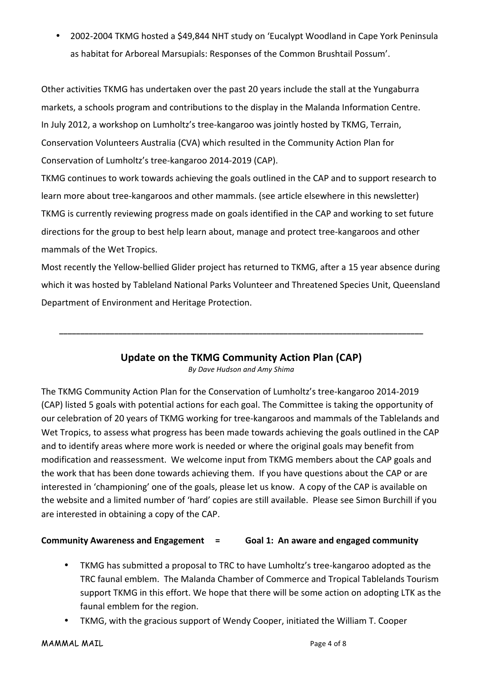2002-2004 TKMG hosted a \$49,844 NHT study on 'Eucalypt Woodland in Cape York Peninsula as habitat for Arboreal Marsupials: Responses of the Common Brushtail Possum'.

Other activities TKMG has undertaken over the past 20 years include the stall at the Yungaburra markets, a schools program and contributions to the display in the Malanda Information Centre. In July 2012, a workshop on Lumholtz's tree-kangaroo was jointly hosted by TKMG, Terrain, Conservation Volunteers Australia (CVA) which resulted in the Community Action Plan for Conservation of Lumholtz's tree-kangaroo 2014-2019 (CAP).

TKMG continues to work towards achieving the goals outlined in the CAP and to support research to learn more about tree-kangaroos and other mammals. (see article elsewhere in this newsletter) TKMG is currently reviewing progress made on goals identified in the CAP and working to set future directions for the group to best help learn about, manage and protect tree-kangaroos and other mammals of the Wet Tropics.

Most recently the Yellow-bellied Glider project has returned to TKMG, after a 15 year absence during which it was hosted by Tableland National Parks Volunteer and Threatened Species Unit, Queensland Department of Environment and Heritage Protection.

### **Update on the TKMG Community Action Plan (CAP)**

**\_\_\_\_\_\_\_\_\_\_\_\_\_\_\_\_\_\_\_\_\_\_\_\_\_\_\_\_\_\_\_\_\_\_\_\_\_\_\_\_\_\_\_\_\_\_\_\_\_\_\_\_\_\_\_\_\_\_\_\_\_\_\_\_\_\_\_\_\_\_\_\_\_\_\_\_\_\_\_\_\_\_\_\_\_\_**

**By Dave Hudson and Amy Shima** 

The TKMG Community Action Plan for the Conservation of Lumholtz's tree-kangaroo 2014-2019 (CAP) listed 5 goals with potential actions for each goal. The Committee is taking the opportunity of our celebration of 20 years of TKMG working for tree-kangaroos and mammals of the Tablelands and Wet Tropics, to assess what progress has been made towards achieving the goals outlined in the CAP and to identify areas where more work is needed or where the original goals may benefit from modification and reassessment. We welcome input from TKMG members about the CAP goals and the work that has been done towards achieving them. If you have questions about the CAP or are interested in 'championing' one of the goals, please let us know. A copy of the CAP is available on the website and a limited number of 'hard' copies are still available. Please see Simon Burchill if you are interested in obtaining a copy of the CAP.

### **Community Awareness and Engagement = Goal 1: An aware and engaged community**

- TKMG has submitted a proposal to TRC to have Lumholtz's tree-kangaroo adopted as the TRC faunal emblem. The Malanda Chamber of Commerce and Tropical Tablelands Tourism support TKMG in this effort. We hope that there will be some action on adopting LTK as the faunal emblem for the region.
- TKMG, with the gracious support of Wendy Cooper, initiated the William T. Cooper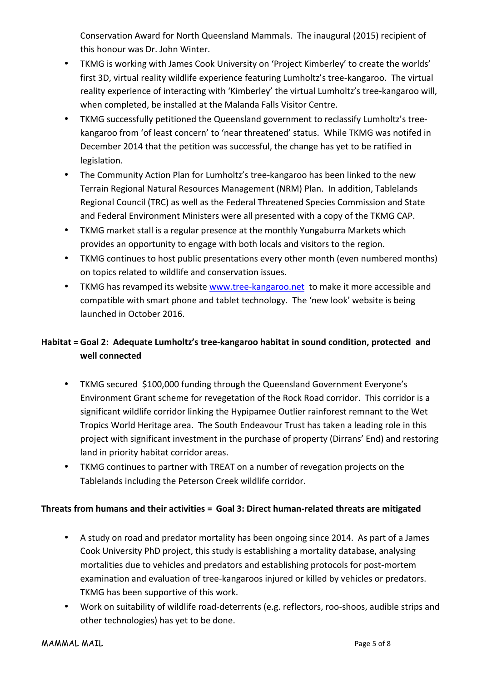Conservation Award for North Queensland Mammals. The inaugural (2015) recipient of this honour was Dr. John Winter.

- TKMG is working with James Cook University on 'Project Kimberley' to create the worlds' first 3D, virtual reality wildlife experience featuring Lumholtz's tree-kangaroo. The virtual reality experience of interacting with 'Kimberley' the virtual Lumholtz's tree-kangaroo will, when completed, be installed at the Malanda Falls Visitor Centre.
- TKMG successfully petitioned the Queensland government to reclassify Lumholtz's treekangaroo from 'of least concern' to 'near threatened' status. While TKMG was notifed in December 2014 that the petition was successful, the change has yet to be ratified in legislation.
- The Community Action Plan for Lumholtz's tree-kangaroo has been linked to the new Terrain Regional Natural Resources Management (NRM) Plan. In addition, Tablelands Regional Council (TRC) as well as the Federal Threatened Species Commission and State and Federal Environment Ministers were all presented with a copy of the TKMG CAP.
- TKMG market stall is a regular presence at the monthly Yungaburra Markets which provides an opportunity to engage with both locals and visitors to the region.
- TKMG continues to host public presentations every other month (even numbered months) on topics related to wildlife and conservation issues.
- TKMG has revamped its website www.tree-kangaroo.net to make it more accessible and compatible with smart phone and tablet technology. The 'new look' website is being launched in October 2016.

## **Habitat** = Goal 2: Adequate Lumholtz's tree-kangaroo habitat in sound condition, protected and well connected

- TKMG secured \$100,000 funding through the Queensland Government Everyone's Environment Grant scheme for revegetation of the Rock Road corridor. This corridor is a significant wildlife corridor linking the Hypipamee Outlier rainforest remnant to the Wet Tropics World Heritage area. The South Endeavour Trust has taken a leading role in this project with significant investment in the purchase of property (Dirrans' End) and restoring land in priority habitat corridor areas.
- TKMG continues to partner with TREAT on a number of revegation projects on the Tablelands including the Peterson Creek wildlife corridor.

### **Threats from humans and their activities = Goal 3: Direct human-related threats are mitigated**

- A study on road and predator mortality has been ongoing since 2014. As part of a James Cook University PhD project, this study is establishing a mortality database, analysing mortalities due to vehicles and predators and establishing protocols for post-mortem examination and evaluation of tree-kangaroos injured or killed by vehicles or predators. TKMG has been supportive of this work.
- Work on suitability of wildlife road-deterrents (e.g. reflectors, roo-shoos, audible strips and other technologies) has yet to be done.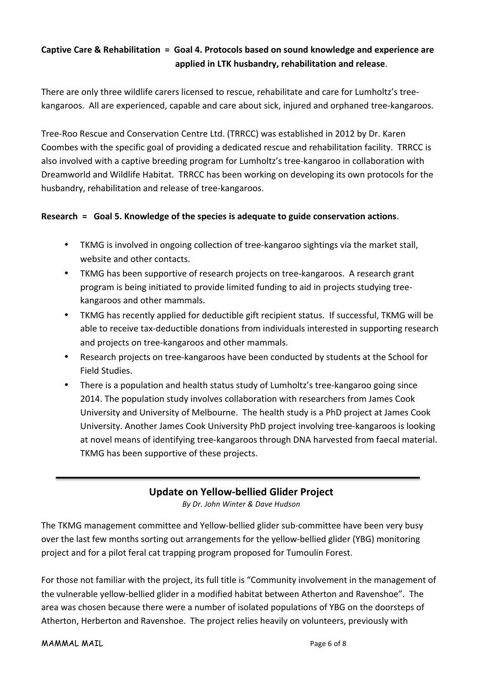## **Captive Care & Rehabilitation = Goal 4. Protocols based on sound knowledge and experience are !!!!!!!!!!!!!!!!!!!!!!!!!!!!!!!!!!!!!!!!!!!!!!!!!!!!!!!!!!!!!applied!in!LTK!husbandry,!rehabilitation!and!release**.

There are only three wildlife carers licensed to rescue, rehabilitate and care for Lumholtz's treekangaroos. All are experienced, capable and care about sick, injured and orphaned tree-kangaroos.

Tree-Roo Rescue and Conservation Centre Ltd. (TRRCC) was established in 2012 by Dr. Karen Coombes with the specific goal of providing a dedicated rescue and rehabilitation facility. TRRCC is also involved with a captive breeding program for Lumholtz's tree-kangaroo in collaboration with Dreamworld and Wildlife Habitat. TRRCC has been working on developing its own protocols for the husbandry, rehabilitation and release of tree-kangaroos.

#### Research = Goal 5. Knowledge of the species is adequate to guide conservation actions.

- TKMG is involved in ongoing collection of tree-kangaroo sightings via the market stall, website and other contacts.
- TKMG has been supportive of research projects on tree-kangaroos. A research grant program is being initiated to provide limited funding to aid in projects studying treekangaroos and other mammals.
- TKMG has recently applied for deductible gift recipient status. If successful, TKMG will be able to receive tax-deductible donations from individuals interested in supporting research and projects on tree-kangaroos and other mammals.
- Research projects on tree-kangaroos have been conducted by students at the School for Field Studies.
- There is a population and health status study of Lumholtz's tree-kangaroo going since 2014. The population study involves collaboration with researchers from James Cook University and University of Melbourne. The health study is a PhD project at James Cook University. Another James Cook University PhD project involving tree-kangaroos is looking at novel means of identifying tree-kangaroos through DNA harvested from faecal material. TKMG has been supportive of these projects.

### **Update on Yellow-bellied Glider Project**

*By#Dr.#John#Winter#&#Dave#Hudson*

The TKMG management committee and Yellow-bellied glider sub-committee have been very busy over the last few months sorting out arrangements for the yellow-bellied glider (YBG) monitoring project and for a pilot feral cat trapping program proposed for Tumoulin Forest.

For those not familiar with the project, its full title is "Community involvement in the management of the vulnerable yellow-bellied glider in a modified habitat between Atherton and Ravenshoe". The area was chosen because there were a number of isolated populations of YBG on the doorsteps of Atherton, Herberton and Ravenshoe. The project relies heavily on volunteers, previously with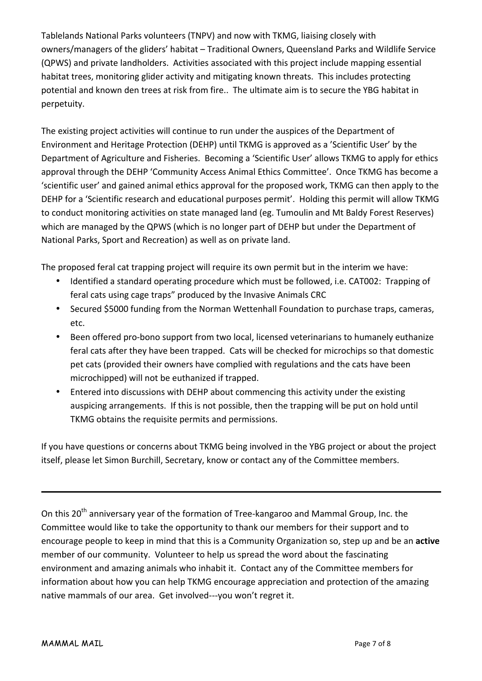Tablelands National Parks volunteers (TNPV) and now with TKMG, liaising closely with owners/managers of the gliders' habitat – Traditional Owners, Queensland Parks and Wildlife Service (QPWS) and private landholders. Activities associated with this project include mapping essential habitat trees, monitoring glider activity and mitigating known threats. This includes protecting potential and known den trees at risk from fire.. The ultimate aim is to secure the YBG habitat in perpetuity.

The existing project activities will continue to run under the auspices of the Department of Environment and Heritage Protection (DEHP) until TKMG is approved as a 'Scientific User' by the Department of Agriculture and Fisheries. Becoming a 'Scientific User' allows TKMG to apply for ethics approval through the DEHP 'Community Access Animal Ethics Committee'. Once TKMG has become a 'scientific user' and gained animal ethics approval for the proposed work, TKMG can then apply to the DEHP for a 'Scientific research and educational purposes permit'. Holding this permit will allow TKMG to conduct monitoring activities on state managed land (eg. Tumoulin and Mt Baldy Forest Reserves) which are managed by the QPWS (which is no longer part of DEHP but under the Department of National Parks, Sport and Recreation) as well as on private land.

The proposed feral cat trapping project will require its own permit but in the interim we have:

- Identified a standard operating procedure which must be followed, i.e. CAT002: Trapping of feral cats using cage traps" produced by the Invasive Animals CRC
- Secured \$5000 funding from the Norman Wettenhall Foundation to purchase traps, cameras, etc.
- Been offered pro-bono support from two local, licensed veterinarians to humanely euthanize feral cats after they have been trapped. Cats will be checked for microchips so that domestic pet cats (provided their owners have complied with regulations and the cats have been microchipped) will not be euthanized if trapped.
- Entered into discussions with DEHP about commencing this activity under the existing auspicing arrangements. If this is not possible, then the trapping will be put on hold until TKMG obtains the requisite permits and permissions.

If you have questions or concerns about TKMG being involved in the YBG project or about the project itself, please let Simon Burchill, Secretary, know or contact any of the Committee members.

On this 20<sup>th</sup> anniversary year of the formation of Tree-kangaroo and Mammal Group, Inc. the Committee would like to take the opportunity to thank our members for their support and to encourage people to keep in mind that this is a Community Organization so, step up and be an **active** member of our community. Volunteer to help us spread the word about the fascinating environment and amazing animals who inhabit it. Contact any of the Committee members for information about how you can help TKMG encourage appreciation and protection of the amazing native mammals of our area. Get involved---you won't regret it.